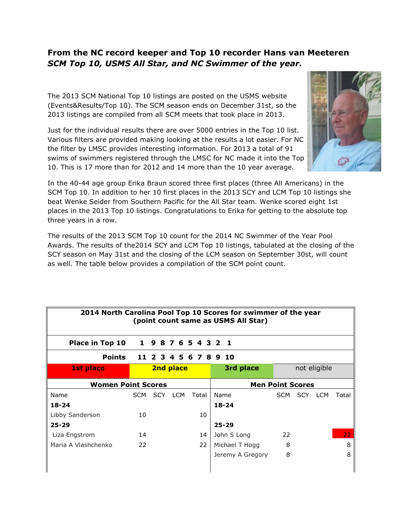## **From the NC record keeper and Top 10 recorder Hans van Meeteren** *SCM Top 10, USMS All Star, and NC Swimmer of the year.*

The 2013 SCM National Top 10 listings are posted on the USMS website (Events&Results/Top 10). The SCM season ends on December 31st, so the 2013 listings are compiled from all SCM meets that took place in 2013.

Just for the individual results there are over 5000 entries in the Top 10 list. Various filters are provided making looking at the results a lot easier. For NC the filter by LMSC provides interesting information. For 2013 a total of 91 swims of swimmers registered through the LMSC for NC made it into the Top 10. This is 17 more than for 2012 and 14 more than the 10 year average.

In the 40-44 age group Erika Braun scored three first places (three All Americans) in the SCM Top 10. In addition to her 10 first places in the 2013 SCY and LCM Top 10 listings she beat Wenke Seider from Southern Pacific for the All Star team. Wenke scored eight 1st places in the 2013 Top 10 listings. Congratulations to Erika for getting to the absolute top three years in a row.

The results of the 2013 SCM Top 10 count for the 2014 NC Swimmer of the Year Pool Awards. The results of the2014 SCY and LCM Top 10 listings, tabulated at the closing of the SCY season on May 31st and the closing of the LCM season on September 30st, will count as well. The table below provides a compilation of the SCM point count.

| 2014 North Carolina Pool Top 10 Scores for swimmer of the year<br>(point count same as USMS All Star) |      |  |           |                     |                         |      |  |              |       |  |  |
|-------------------------------------------------------------------------------------------------------|------|--|-----------|---------------------|-------------------------|------|--|--------------|-------|--|--|
| Place in Top 10                                                                                       |      |  |           | 1 9 8 7 6 5 4 3 2 1 |                         |      |  |              |       |  |  |
| <b>Points</b>                                                                                         |      |  |           |                     | 11 2 3 4 5 6 7 8 9 10   |      |  |              |       |  |  |
| <b>1st place</b>                                                                                      |      |  | 2nd place |                     | 3rd place               |      |  | not eligible |       |  |  |
| <b>Women Point Scores</b>                                                                             |      |  |           |                     | <b>Men Point Scores</b> |      |  |              |       |  |  |
| Name                                                                                                  | SCM. |  | SCY LCM   | Total               | Name                    | SCM. |  | SCY LCM      | Total |  |  |
| $18 - 24$                                                                                             |      |  |           |                     | $18 - 24$               |      |  |              |       |  |  |
| Libby Sanderson                                                                                       | 10   |  |           | 10                  |                         |      |  |              |       |  |  |
| $25 - 29$                                                                                             |      |  |           |                     | $25 - 29$               |      |  |              |       |  |  |
| Liza Engstrom                                                                                         | 14   |  |           | 14                  | John S Long             | 22   |  |              | 22    |  |  |
| Maria A Vlashchenko                                                                                   | 22   |  |           | 22                  | Michael T Hogg          | 8    |  |              | 8     |  |  |
|                                                                                                       |      |  |           |                     | Jeremy A Gregory        | 8    |  |              | 8     |  |  |